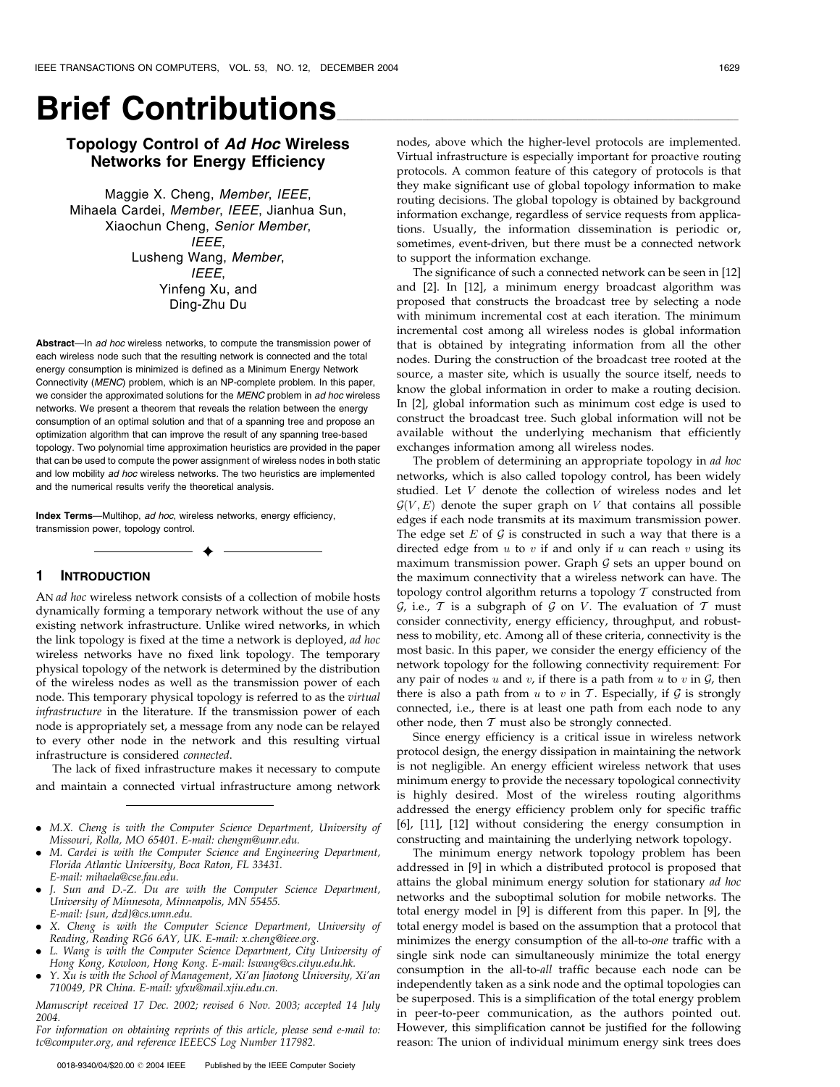# **Brief Contributions**

# Topology Control of Ad Hoc Wireless Networks for Energy Efficiency

Maggie X. Cheng, Member, IEEE, Mihaela Cardei, Member, IEEE, Jianhua Sun, Xiaochun Cheng, Senior Member, IEEE, Lusheng Wang, Member, IEEE, Yinfeng Xu, and Ding-Zhu Du

Abstract-In ad hoc wireless networks, to compute the transmission power of each wireless node such that the resulting network is connected and the total energy consumption is minimized is defined as a Minimum Energy Network Connectivity (MENC) problem, which is an NP-complete problem. In this paper, we consider the approximated solutions for the MENC problem in ad hoc wireless networks. We present a theorem that reveals the relation between the energy consumption of an optimal solution and that of a spanning tree and propose an optimization algorithm that can improve the result of any spanning tree-based topology. Two polynomial time approximation heuristics are provided in the paper that can be used to compute the power assignment of wireless nodes in both static and low mobility ad hoc wireless networks. The two heuristics are implemented and the numerical results verify the theoretical analysis.

Index Terms-Multihop, ad hoc, wireless networks, energy efficiency, transmission power, topology control.

# 1 INTRODUCTION

AN ad hoc wireless network consists of a collection of mobile hosts dynamically forming a temporary network without the use of any existing network infrastructure. Unlike wired networks, in which the link topology is fixed at the time a network is deployed, ad hoc wireless networks have no fixed link topology. The temporary physical topology of the network is determined by the distribution of the wireless nodes as well as the transmission power of each node. This temporary physical topology is referred to as the virtual infrastructure in the literature. If the transmission power of each node is appropriately set, a message from any node can be relayed to every other node in the network and this resulting virtual infrastructure is considered connected.

 $\ddotmark$ 

The lack of fixed infrastructure makes it necessary to compute and maintain a connected virtual infrastructure among network

- . M.X. Cheng is with the Computer Science Department, University of Missouri, Rolla, MO 65401. E-mail: chengm@umr.edu.
- . M. Cardei is with the Computer Science and Engineering Department, Florida Atlantic University, Boca Raton, FL 33431. E-mail: mihaela@cse.fau.edu.
- . J. Sun and D.-Z. Du are with the Computer Science Department, University of Minnesota, Minneapolis, MN 55455. E-mail: {sun, dzd}@cs.umn.edu.
- . X. Cheng is with the Computer Science Department, University of Reading, Reading RG6 6AY, UK. E-mail: x.cheng@ieee.org.
- . L. Wang is with the Computer Science Department, City University of Hong Kong, Kowloon, Hong Kong. E-mail: lswang@cs.cityu.edu.hk.
- . Y. Xu is with the School of Management, Xi'an Jiaotong University, Xi'an 710049, PR China. E-mail: yfxu@mail.xjiu.edu.cn.

Manuscript received 17 Dec. 2002; revised 6 Nov. 2003; accepted 14 July 2004.

For information on obtaining reprints of this article, please send e-mail to: tc@computer.org, and reference IEEECS Log Number 117982.

nodes, above which the higher-level protocols are implemented. Virtual infrastructure is especially important for proactive routing protocols. A common feature of this category of protocols is that they make significant use of global topology information to make routing decisions. The global topology is obtained by background information exchange, regardless of service requests from applications. Usually, the information dissemination is periodic or, sometimes, event-driven, but there must be a connected network to support the information exchange.

The significance of such a connected network can be seen in [12] and [2]. In [12], a minimum energy broadcast algorithm was proposed that constructs the broadcast tree by selecting a node with minimum incremental cost at each iteration. The minimum incremental cost among all wireless nodes is global information that is obtained by integrating information from all the other nodes. During the construction of the broadcast tree rooted at the source, a master site, which is usually the source itself, needs to know the global information in order to make a routing decision. In [2], global information such as minimum cost edge is used to construct the broadcast tree. Such global information will not be available without the underlying mechanism that efficiently exchanges information among all wireless nodes.

The problem of determining an appropriate topology in ad hoc networks, which is also called topology control, has been widely studied. Let V denote the collection of wireless nodes and let  $G(V, E)$  denote the super graph on V that contains all possible edges if each node transmits at its maximum transmission power. The edge set  $E$  of  $G$  is constructed in such a way that there is a directed edge from  $u$  to  $v$  if and only if  $u$  can reach  $v$  using its maximum transmission power. Graph  $G$  sets an upper bound on the maximum connectivity that a wireless network can have. The topology control algorithm returns a topology  $T$  constructed from  $G$ , i.e.,  $T$  is a subgraph of  $G$  on  $V$ . The evaluation of  $T$  must consider connectivity, energy efficiency, throughput, and robustness to mobility, etc. Among all of these criteria, connectivity is the most basic. In this paper, we consider the energy efficiency of the network topology for the following connectivity requirement: For any pair of nodes  $u$  and  $v$ , if there is a path from  $u$  to  $v$  in  $\mathcal{G}$ , then there is also a path from  $u$  to  $v$  in  $T$ . Especially, if  $G$  is strongly connected, i.e., there is at least one path from each node to any other node, then  $T$  must also be strongly connected.

Since energy efficiency is a critical issue in wireless network protocol design, the energy dissipation in maintaining the network is not negligible. An energy efficient wireless network that uses minimum energy to provide the necessary topological connectivity is highly desired. Most of the wireless routing algorithms addressed the energy efficiency problem only for specific traffic [6], [11], [12] without considering the energy consumption in constructing and maintaining the underlying network topology.

The minimum energy network topology problem has been addressed in [9] in which a distributed protocol is proposed that attains the global minimum energy solution for stationary ad hoc networks and the suboptimal solution for mobile networks. The total energy model in [9] is different from this paper. In [9], the total energy model is based on the assumption that a protocol that minimizes the energy consumption of the all-to-one traffic with a single sink node can simultaneously minimize the total energy consumption in the all-to-all traffic because each node can be independently taken as a sink node and the optimal topologies can be superposed. This is a simplification of the total energy problem in peer-to-peer communication, as the authors pointed out. However, this simplification cannot be justified for the following reason: The union of individual minimum energy sink trees does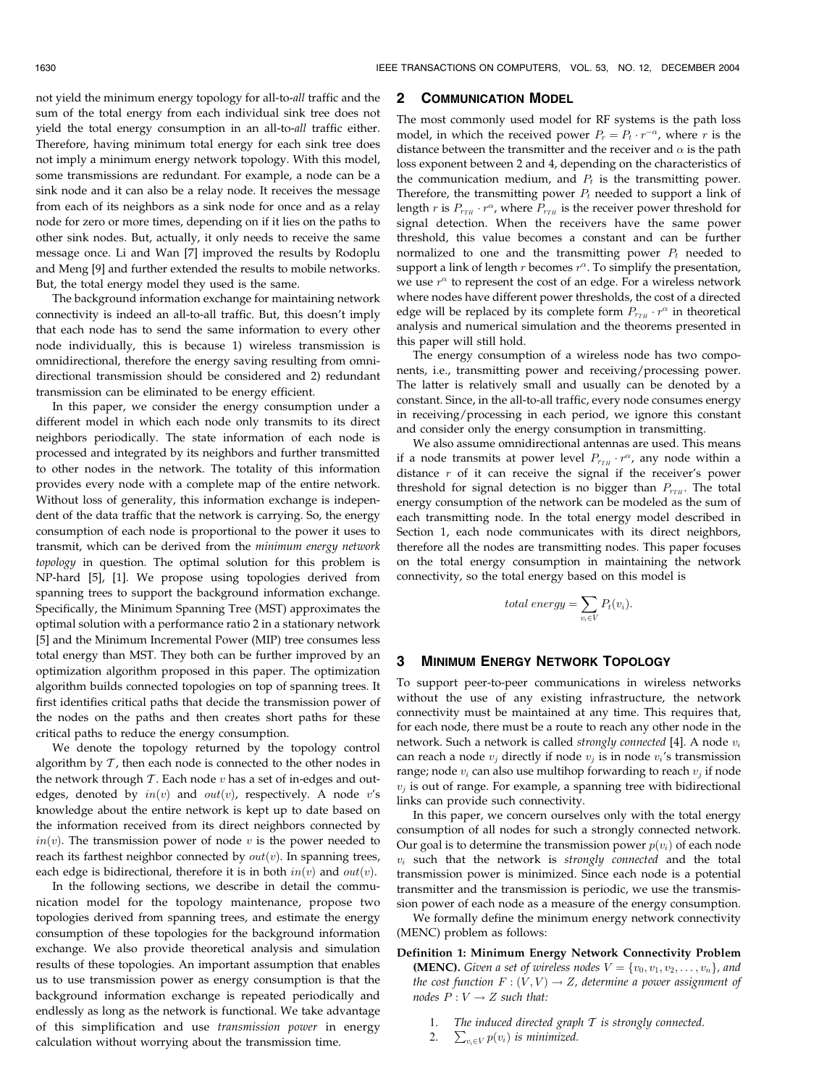not yield the minimum energy topology for all-to-all traffic and the sum of the total energy from each individual sink tree does not yield the total energy consumption in an all-to-all traffic either. Therefore, having minimum total energy for each sink tree does not imply a minimum energy network topology. With this model, some transmissions are redundant. For example, a node can be a sink node and it can also be a relay node. It receives the message from each of its neighbors as a sink node for once and as a relay node for zero or more times, depending on if it lies on the paths to other sink nodes. But, actually, it only needs to receive the same message once. Li and Wan [7] improved the results by Rodoplu and Meng [9] and further extended the results to mobile networks. But, the total energy model they used is the same.

The background information exchange for maintaining network connectivity is indeed an all-to-all traffic. But, this doesn't imply that each node has to send the same information to every other node individually, this is because 1) wireless transmission is omnidirectional, therefore the energy saving resulting from omnidirectional transmission should be considered and 2) redundant transmission can be eliminated to be energy efficient.

In this paper, we consider the energy consumption under a different model in which each node only transmits to its direct neighbors periodically. The state information of each node is processed and integrated by its neighbors and further transmitted to other nodes in the network. The totality of this information provides every node with a complete map of the entire network. Without loss of generality, this information exchange is independent of the data traffic that the network is carrying. So, the energy consumption of each node is proportional to the power it uses to transmit, which can be derived from the minimum energy network topology in question. The optimal solution for this problem is NP-hard [5], [1]. We propose using topologies derived from spanning trees to support the background information exchange. Specifically, the Minimum Spanning Tree (MST) approximates the optimal solution with a performance ratio 2 in a stationary network [5] and the Minimum Incremental Power (MIP) tree consumes less total energy than MST. They both can be further improved by an optimization algorithm proposed in this paper. The optimization algorithm builds connected topologies on top of spanning trees. It first identifies critical paths that decide the transmission power of the nodes on the paths and then creates short paths for these critical paths to reduce the energy consumption.

We denote the topology returned by the topology control algorithm by  $T$ , then each node is connected to the other nodes in the network through  $T$ . Each node  $v$  has a set of in-edges and outedges, denoted by  $in(v)$  and  $out(v)$ , respectively. A node v's knowledge about the entire network is kept up to date based on the information received from its direct neighbors connected by  $in(v)$ . The transmission power of node v is the power needed to reach its farthest neighbor connected by  $out(v)$ . In spanning trees, each edge is bidirectional, therefore it is in both  $in(v)$  and  $out(v)$ .

In the following sections, we describe in detail the communication model for the topology maintenance, propose two topologies derived from spanning trees, and estimate the energy consumption of these topologies for the background information exchange. We also provide theoretical analysis and simulation results of these topologies. An important assumption that enables us to use transmission power as energy consumption is that the background information exchange is repeated periodically and endlessly as long as the network is functional. We take advantage of this simplification and use transmission power in energy calculation without worrying about the transmission time.

## 2 COMMUNICATION MODEL

The most commonly used model for RF systems is the path loss model, in which the received power  $P_r = P_t \cdot r^{-\alpha}$ , where r is the distance between the transmitter and the receiver and  $\alpha$  is the path loss exponent between 2 and 4, depending on the characteristics of the communication medium, and  $P_t$  is the transmitting power. Therefore, the transmitting power  $P_t$  needed to support a link of length *r* is  $P_{r_{TH}} \cdot r^{\alpha}$ , where  $P_{r_{TH}}$  is the receiver power threshold for signal detection. When the receivers have the same power threshold, this value becomes a constant and can be further normalized to one and the transmitting power  $P_t$  needed to support a link of length  $r$  becomes  $r^{\alpha}$ . To simplify the presentation, we use  $r^{\alpha}$  to represent the cost of an edge. For a wireless network where nodes have different power thresholds, the cost of a directed edge will be replaced by its complete form  $P_{rrH} \cdot r^{\alpha}$  in theoretical analysis and numerical simulation and the theorems presented in this paper will still hold.

The energy consumption of a wireless node has two components, i.e., transmitting power and receiving/processing power. The latter is relatively small and usually can be denoted by a constant. Since, in the all-to-all traffic, every node consumes energy in receiving/processing in each period, we ignore this constant and consider only the energy consumption in transmitting.

We also assume omnidirectional antennas are used. This means if a node transmits at power level  $P_{rrH} \cdot r^{\alpha}$ , any node within a distance  $r$  of it can receive the signal if the receiver's power threshold for signal detection is no bigger than  $P_{TTH}$ . The total energy consumption of the network can be modeled as the sum of each transmitting node. In the total energy model described in Section 1, each node communicates with its direct neighbors, therefore all the nodes are transmitting nodes. This paper focuses on the total energy consumption in maintaining the network connectivity, so the total energy based on this model is

$$
total\ energy = \sum_{v_i \in V} P_t(v_i).
$$

#### 3 MINIMUM ENERGY NETWORK TOPOLOGY

To support peer-to-peer communications in wireless networks without the use of any existing infrastructure, the network connectivity must be maintained at any time. This requires that, for each node, there must be a route to reach any other node in the network. Such a network is called strongly connected [4]. A node  $v_i$ can reach a node  $v_i$  directly if node  $v_i$  is in node  $v_i$ 's transmission range; node  $v_i$  can also use multihop forwarding to reach  $v_i$  if node  $v_j$  is out of range. For example, a spanning tree with bidirectional links can provide such connectivity.

In this paper, we concern ourselves only with the total energy consumption of all nodes for such a strongly connected network. Our goal is to determine the transmission power  $p(v_i)$  of each node  $v_i$  such that the network is strongly connected and the total transmission power is minimized. Since each node is a potential transmitter and the transmission is periodic, we use the transmission power of each node as a measure of the energy consumption.

We formally define the minimum energy network connectivity (MENC) problem as follows:

- Definition 1: Minimum Energy Network Connectivity Problem **(MENC).** Given a set of wireless nodes  $V = \{v_0, v_1, v_2, \dots, v_n\}$ , and the cost function  $F: (V, V) \rightarrow Z$ , determine a power assignment of nodes  $P: V \rightarrow Z$  such that:
	- 1. The induced directed graph  $T$  is strongly connected.
	- 2.  $\sum_{v_i \in V} p(v_i)$  is minimized.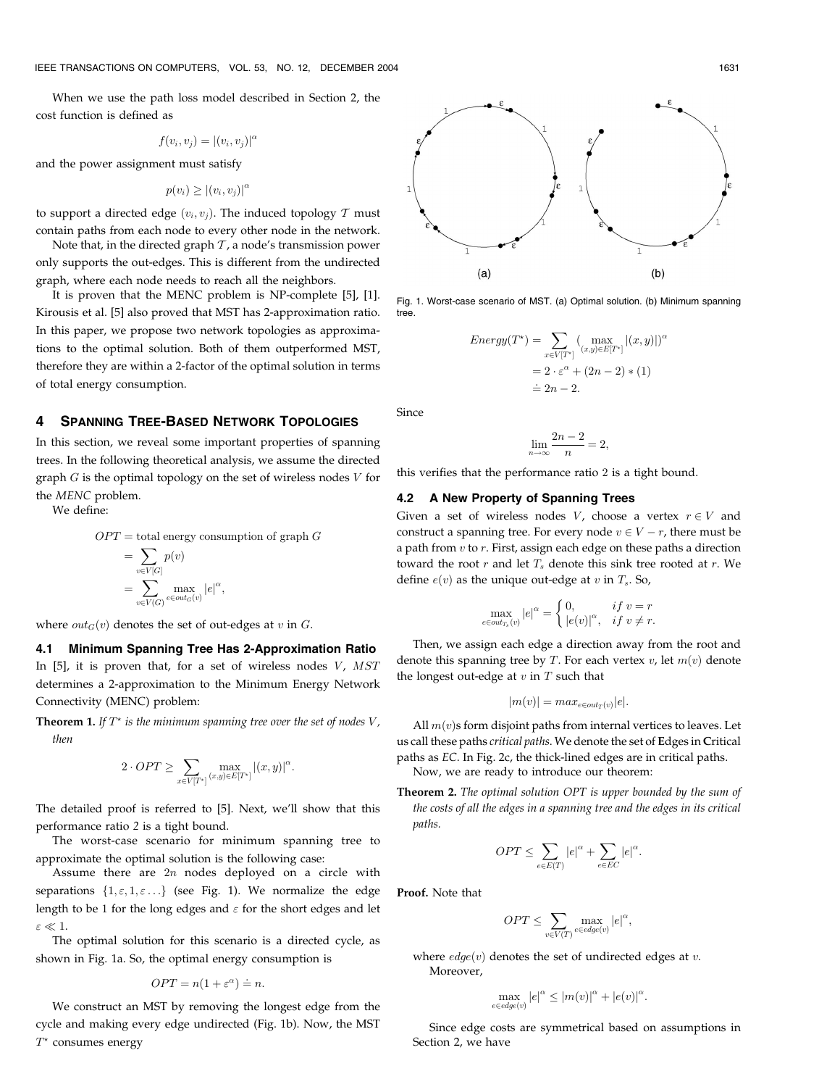When we use the path loss model described in Section 2, the cost function is defined as

$$
f(v_i, v_j) = |(v_i, v_j)|^{\alpha}
$$

and the power assignment must satisfy

$$
p(v_i) \geq |(v_i, v_j)|^{\alpha}
$$

to support a directed edge  $(v_i, v_j)$ . The induced topology T must contain paths from each node to every other node in the network.

Note that, in the directed graph  $T$ , a node's transmission power only supports the out-edges. This is different from the undirected graph, where each node needs to reach all the neighbors.

It is proven that the MENC problem is NP-complete [5], [1]. Kirousis et al. [5] also proved that MST has 2-approximation ratio. In this paper, we propose two network topologies as approximations to the optimal solution. Both of them outperformed MST, therefore they are within a 2-factor of the optimal solution in terms of total energy consumption.

# 4 SPANNING TREE-BASED NETWORK TOPOLOGIES

In this section, we reveal some important properties of spanning trees. In the following theoretical analysis, we assume the directed graph  $G$  is the optimal topology on the set of wireless nodes  $V$  for the MENC problem.

We define:

$$
OPT = {\rm total~energy~consumption~of~graph}~G
$$

$$
= \sum_{v \in V[G]} p(v)
$$
  
= 
$$
\sum_{v \in V(G)} \max_{e \in out_G(v)} |e|^{\alpha},
$$

where  $out_G(v)$  denotes the set of out-edges at v in G.

# 4.1 Minimum Spanning Tree Has 2-Approximation Ratio In [5], it is proven that, for a set of wireless nodes  $V$ ,  $MST$ determines a 2-approximation to the Minimum Energy Network Connectivity (MENC) problem:

**Theorem 1.** If  $T^*$  is the minimum spanning tree over the set of nodes  $V$ , then

$$
2 \cdot OPT \ge \sum_{x \in V[T^*]} \max_{(x,y) \in E[T^*]} |(x,y)|^{\alpha}.
$$

The detailed proof is referred to [5]. Next, we'll show that this performance ratio 2 is a tight bound.

The worst-case scenario for minimum spanning tree to approximate the optimal solution is the following case:

Assume there are  $2n$  nodes deployed on a circle with separations  $\{1, \varepsilon, 1, \varepsilon \ldots\}$  (see Fig. 1). We normalize the edge length to be 1 for the long edges and  $\varepsilon$  for the short edges and let  $\varepsilon \ll 1$ .

The optimal solution for this scenario is a directed cycle, as shown in Fig. 1a. So, the optimal energy consumption is

$$
OPT = n(1 + \varepsilon^{\alpha}) \doteq n.
$$

We construct an MST by removing the longest edge from the cycle and making every edge undirected (Fig. 1b). Now, the MST  $T^*$  consumes energy



Fig. 1. Worst-case scenario of MST. (a) Optimal solution. (b) Minimum spanning tree.

$$
Energy(T^*) = \sum_{x \in V[T^*]} (\max_{(x,y) \in E[T^*]} |(x,y)|)^{\alpha}
$$

$$
= 2 \cdot \varepsilon^{\alpha} + (2n - 2) * (1)
$$

$$
\approx 2n - 2.
$$

Since

$$
\lim_{n \to \infty} \frac{2n-2}{n} = 2,
$$

this verifies that the performance ratio 2 is a tight bound.

# 4.2 A New Property of Spanning Trees

Given a set of wireless nodes *V*, choose a vertex  $r \in V$  and construct a spanning tree. For every node  $v \in V - r$ , there must be a path from  $v$  to  $r$ . First, assign each edge on these paths a direction toward the root  $r$  and let  $T_s$  denote this sink tree rooted at  $r$ . We define  $e(v)$  as the unique out-edge at v in  $T_s$ . So,

$$
\max_{e \in out_{T_s}(v)} |e|^\alpha = \begin{cases} 0, & \text{if } v = r \\ |e(v)|^\alpha, & \text{if } v \neq r. \end{cases}
$$

Then, we assign each edge a direction away from the root and denote this spanning tree by T. For each vertex  $v$ , let  $m(v)$  denote the longest out-edge at  $v$  in  $T$  such that

$$
|m(v)| = max_{e \in out_T(v)} |e|.
$$

All  $m(v)$ s form disjoint paths from internal vertices to leaves. Let us call these paths critical paths. We denote the set of Edges in Critical paths as EC. In Fig. 2c, the thick-lined edges are in critical paths. Now, we are ready to introduce our theorem:

Theorem 2. The optimal solution OPT is upper bounded by the sum of the costs of all the edges in a spanning tree and the edges in its critical paths.

$$
OPT \le \sum_{e \in E(T)} |e|^{\alpha} + \sum_{e \in EC} |e|^{\alpha}.
$$

Proof. Note that

$$
OPT \le \sum_{v \in V(T)} \max_{e \in edge(v)} |e|^{\alpha},
$$

where  $edge(v)$  denotes the set of undirected edges at v. Moreover,

$$
\max_{e \in edge(v)} |e|^{\alpha} \le |m(v)|^{\alpha} + |e(v)|^{\alpha}.
$$

Since edge costs are symmetrical based on assumptions in Section 2, we have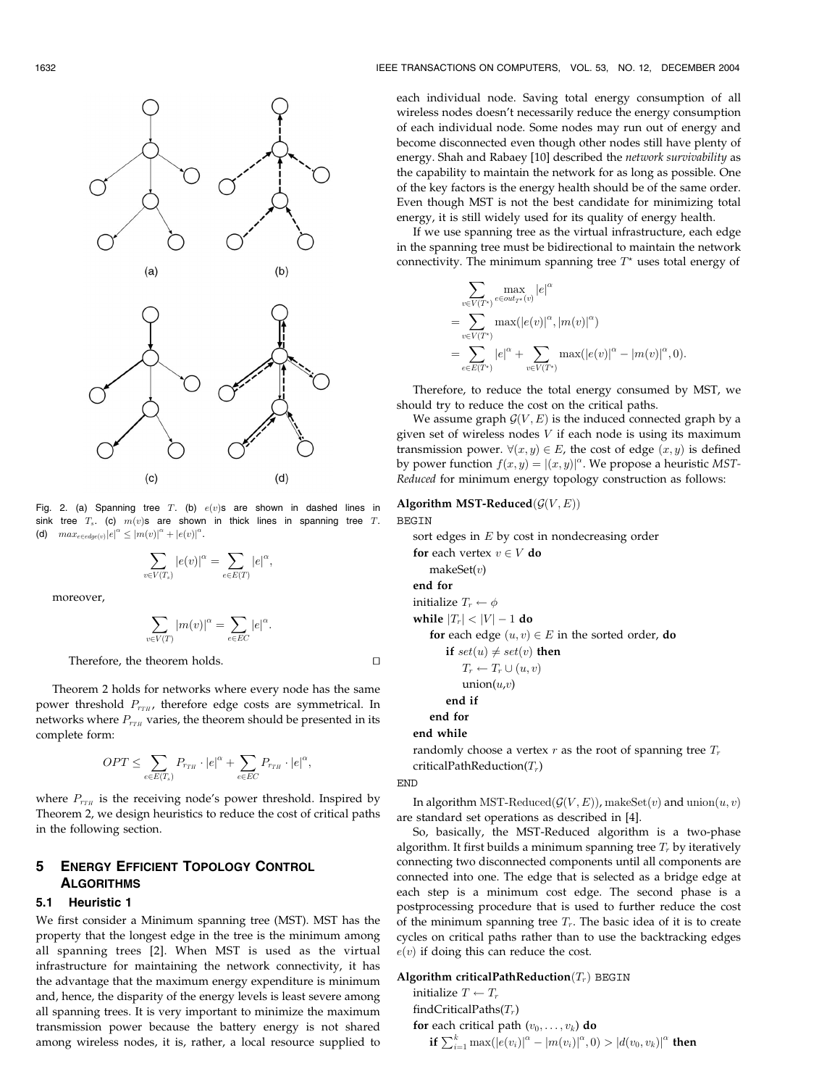

Fig. 2. (a) Spanning tree T. (b)  $e(v)$ s are shown in dashed lines in sink tree  $T_s$ . (c)  $m(v)s$  are shown in thick lines in spanning tree  $T$ . (d)  $max_{e \in edge(v)} |e|^\alpha \leq |m(v)|^\alpha + |e(v)|^\alpha$ .

$$
\sum_{v \in V(T_s)} |e(v)|^{\alpha} = \sum_{e \in E(T)} |e|^{\alpha},
$$

moreover,

$$
\sum_{v \in V(T)} |m(v)|^{\alpha} = \sum_{e \in EC} |e|^{\alpha}.
$$

Therefore, the theorem holds.  $\Box$ 

Theorem 2 holds for networks where every node has the same power threshold  $P_{r_{TH}}$ , therefore edge costs are symmetrical. In networks where  $P_{r_{TH}}$  varies, the theorem should be presented in its complete form:

$$
OPT \leq \sum_{e \in E(T_s)} P_{r_{TH}} \cdot |e|^{\alpha} + \sum_{e \in EC} P_{r_{TH}} \cdot |e|^{\alpha},
$$

where  $P_{r_{TH}}$  is the receiving node's power threshold. Inspired by Theorem 2, we design heuristics to reduce the cost of critical paths in the following section.

# 5 ENERGY EFFICIENT TOPOLOGY CONTROL **ALGORITHMS**

#### 5.1 Heuristic 1

We first consider a Minimum spanning tree (MST). MST has the property that the longest edge in the tree is the minimum among all spanning trees [2]. When MST is used as the virtual infrastructure for maintaining the network connectivity, it has the advantage that the maximum energy expenditure is minimum and, hence, the disparity of the energy levels is least severe among all spanning trees. It is very important to minimize the maximum transmission power because the battery energy is not shared among wireless nodes, it is, rather, a local resource supplied to

each individual node. Saving total energy consumption of all wireless nodes doesn't necessarily reduce the energy consumption of each individual node. Some nodes may run out of energy and become disconnected even though other nodes still have plenty of energy. Shah and Rabaey [10] described the network survivability as the capability to maintain the network for as long as possible. One of the key factors is the energy health should be of the same order. Even though MST is not the best candidate for minimizing total energy, it is still widely used for its quality of energy health.

If we use spanning tree as the virtual infrastructure, each edge in the spanning tree must be bidirectional to maintain the network connectivity. The minimum spanning tree  $T^*$  uses total energy of

$$
\sum_{v \in V(T^*)} \max_{e \in out_{T^*}(v)} |e|^{\alpha} \n= \sum_{v \in V(T^*)} \max(|e(v)|^{\alpha}, |m(v)|^{\alpha}) \n= \sum_{e \in E(T^*)} |e|^{\alpha} + \sum_{v \in V(T^*)} \max(|e(v)|^{\alpha} - |m(v)|^{\alpha}, 0).
$$

Therefore, to reduce the total energy consumed by MST, we should try to reduce the cost on the critical paths.

We assume graph  $\mathcal{G}(V,E)$  is the induced connected graph by a given set of wireless nodes  $V$  if each node is using its maximum transmission power.  $\forall (x, y) \in E$ , the cost of edge  $(x, y)$  is defined by power function  $f(x, y) = |(x, y)|^{\alpha}$ . We propose a heuristic MST-Reduced for minimum energy topology construction as follows:

# Algorithm MST-Reduced $(\mathcal{G}(V,E))$ BEGIN

sort edges in E by cost in nondecreasing order for each vertex  $v \in V$  do makeSet $(v)$ end for initialize  $T_r \leftarrow \phi$ while  $\left|T_r\right| < \left|V\right| - 1$  do for each edge  $(u, v) \in E$  in the sorted order, do if  $set(u) \neq set(v)$  then  $T_r \leftarrow T_r \cup (u, v)$  $union(u,v)$ end if end for

#### end while

randomly choose a vertex r as the root of spanning tree  $T_r$ criticalPathReduction( $T_r$ )

**END** 

In algorithm MST-Reduced $(\mathcal{G}(V,E))$ , makeSet $(v)$  and union $(u, v)$ are standard set operations as described in [4].

So, basically, the MST-Reduced algorithm is a two-phase algorithm. It first builds a minimum spanning tree  $T_r$  by iteratively connecting two disconnected components until all components are connected into one. The edge that is selected as a bridge edge at each step is a minimum cost edge. The second phase is a postprocessing procedure that is used to further reduce the cost of the minimum spanning tree  $T_r$ . The basic idea of it is to create cycles on critical paths rather than to use the backtracking edges  $e(v)$  if doing this can reduce the cost.

## Algorithm criticalPathReduction $(T_r)$  BEGIN

initialize  $T \leftarrow T_r$ findCriticalPaths $(T_r)$ for each critical path  $(v_0, \ldots, v_k)$  do **if**  $\sum_{i=1}^{k} \max(|e(v_i)|^{\alpha} - |m(v_i)|^{\alpha}, 0) > |d(v_0, v_k)|^{\alpha}$  then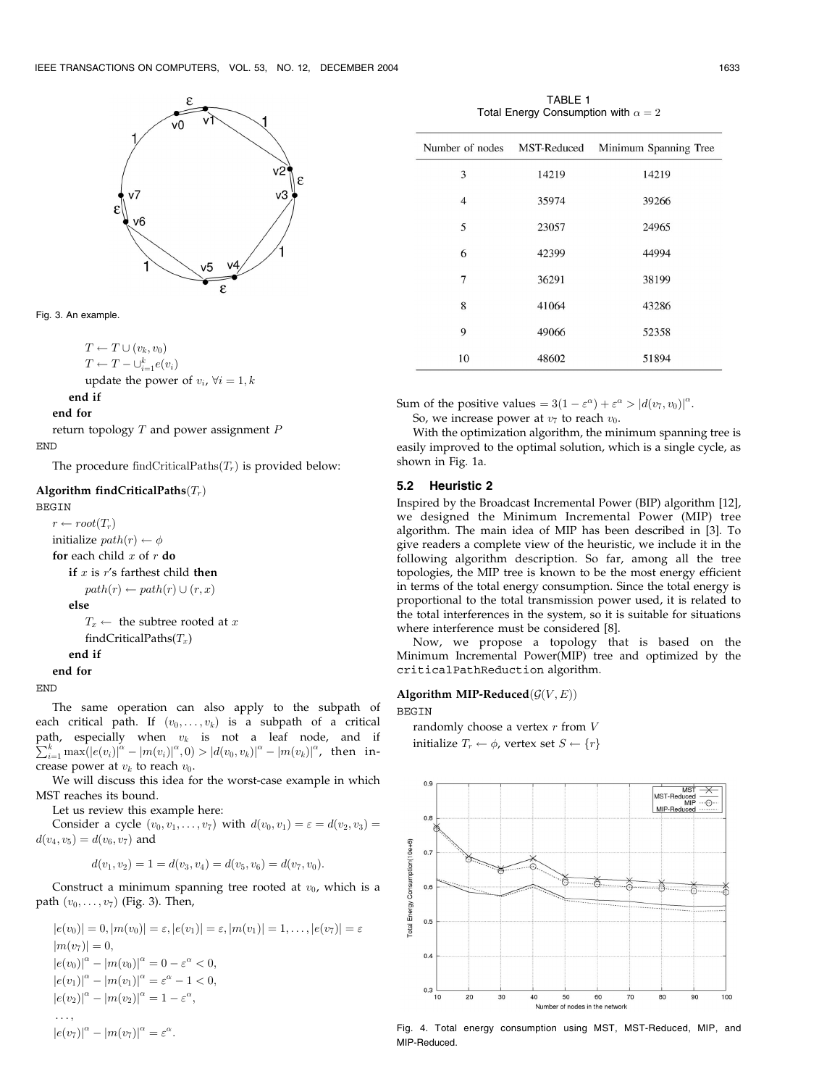



$$
T \leftarrow T \cup (v_k, v_0)
$$
  
\n
$$
T \leftarrow T - \bigcup_{i=1}^k e(v_i)
$$
  
\nupdate the power of  $v_i$ ,  $\forall i = 1, k$ 

end if

end for

return topology  $T$  and power assignment  $P$ END

The procedure findCriticalPaths $(T_r)$  is provided below:

# Algorithm findCriticalPaths $(T_r)$

#### BEGIN

 $r \leftarrow root(T_r)$ initialize  $path(r) \leftarrow \phi$ for each child  $x$  of  $r$  do if  $x$  is  $r$ 's farthest child then  $path(r) \leftarrow path(r) \cup (r, x)$ else  $T_x \leftarrow$  the subtree rooted at x findCriticalPaths $(T_x)$ end if end for

END

The same operation can also apply to the subpath of each critical path. If  $(v_0, \ldots, v_k)$  is a subpath of a critical path, especially when  $v_k$  is not a leaf node, and if  $\sum_{k}^{k} \max_{\mathbf{p} \in [a(\mathbf{p}, \mathbf{p})]^{\alpha}} \max_{\mathbf{p} \in [a(\mathbf{p}, \mathbf{p})]^{\alpha}} \left| \sum_{k}^{k} \max_{\mathbf{p} \in [a(\mathbf{p}, \mathbf{p})]^{\alpha}} \mathbf{p} \right|$  $\sum_{i=1}^k\max(|e(v_i)|^\alpha-\left|m(v_i)\right|^\alpha,0)>|d(v_0,v_k)|^\alpha-\left|m(v_k)\right|^\alpha$ , then increase power at  $v_k$  to reach  $v_0$ .

We will discuss this idea for the worst-case example in which MST reaches its bound.

Let us review this example here:

 $|e(v_7)|^{\alpha} - |m(v_7)|^{\alpha} = \varepsilon^{\alpha}.$ 

Consider a cycle  $(v_0, v_1, \ldots, v_7)$  with  $d(v_0, v_1) = \varepsilon = d(v_2, v_3) =$  $d(v_4, v_5) = d(v_6, v_7)$  and

$$
d(v_1, v_2) = 1 = d(v_3, v_4) = d(v_5, v_6) = d(v_7, v_0).
$$

Construct a minimum spanning tree rooted at  $v_0$ , which is a path  $(v_0, \ldots, v_7)$  (Fig. 3). Then,

 $|e(v_0)| = 0, |m(v_0)| = \varepsilon, |e(v_1)| = \varepsilon, |m(v_1)| = 1, \ldots, |e(v_7)| = \varepsilon$  $|m(v_7)| = 0,$  $|e(v_0)|^{\alpha} - |m(v_0)|^{\alpha} = 0 - \varepsilon^{\alpha} < 0,$  $|e(v_1)|^{\alpha} - |m(v_1)|^{\alpha} = \varepsilon^{\alpha} - 1 < 0,$  $|e(v_2)|^{\alpha} - |m(v_2)|^{\alpha} = 1 - \varepsilon^{\alpha},$ ... ;

**BEGIN** 



Fig. 4. Total energy consumption using MST, MST-Reduced, MIP, and MIP-Reduced.

| TABLE 1                                    |  |
|--------------------------------------------|--|
| Total Energy Consumption with $\alpha = 2$ |  |

| Number of nodes | MST-Reduced | Minimum Spanning Tree |
|-----------------|-------------|-----------------------|
| 3               | 14219       | 14219                 |
| 4               | 35974       | 39266                 |
| 5               | 23057       | 24965                 |
| 6               | 42399       | 44994                 |
| 7               | 36291       | 38199                 |
| 8               | 41064       | 43286                 |
| 9               | 49066       | 52358                 |
| 10              | 48602       | 51894                 |

Sum of the positive values =  $3(1 - \varepsilon^{\alpha}) + \varepsilon^{\alpha} > |d(v_7, v_0)|^{\alpha}$ .

So, we increase power at  $v_7$  to reach  $v_0$ .

With the optimization algorithm, the minimum spanning tree is easily improved to the optimal solution, which is a single cycle, as shown in Fig. 1a.

#### 5.2 Heuristic 2

Inspired by the Broadcast Incremental Power (BIP) algorithm [12], we designed the Minimum Incremental Power (MIP) tree algorithm. The main idea of MIP has been described in [3]. To give readers a complete view of the heuristic, we include it in the following algorithm description. So far, among all the tree topologies, the MIP tree is known to be the most energy efficient in terms of the total energy consumption. Since the total energy is proportional to the total transmission power used, it is related to the total interferences in the system, so it is suitable for situations where interference must be considered [8].

Now, we propose a topology that is based on the Minimum Incremental Power(MIP) tree and optimized by the criticalPathReduction algorithm.

#### Algorithm MIP-Reduced $(\mathcal{G}(V, E))$

randomly choose a vertex  $r$  from  $V$ initialize  $T_r \leftarrow \phi$ , vertex set  $S \leftarrow \{r\}$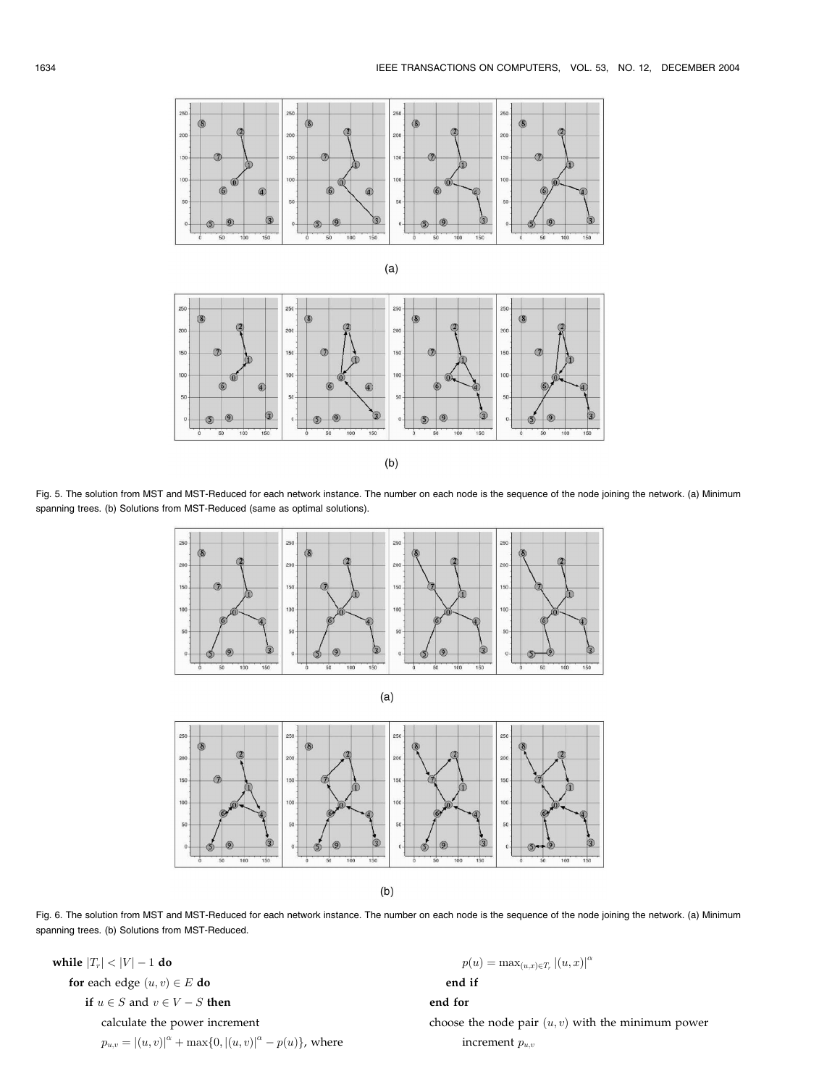





 $(b)$ 

Fig. 5. The solution from MST and MST-Reduced for each network instance. The number on each node is the sequence of the node joining the network. (a) Minimum spanning trees. (b) Solutions from MST-Reduced (same as optimal solutions).



Fig. 6. The solution from MST and MST-Reduced for each network instance. The number on each node is the sequence of the node joining the network. (a) Minimum spanning trees. (b) Solutions from MST-Reduced.

while  $\left|T_r\right| < \left|V\right| - 1$  do for each edge  $(u, v) \in E$  do if  $u \in S$  and  $v \in V - S$  then calculate the power increment  $p_{u,v} = |(u, v)|^{\alpha} + \max\{0, |(u, v)|^{\alpha} - p(u)\},$  where

 $p(u) = \max_{(u,x)\in T_r} |(u,x)|^{\alpha}$ end if end for choose the node pair  $(u, v)$  with the minimum power increment  $p_{u,v}$